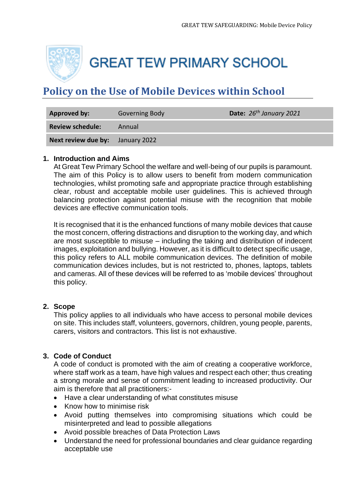

**GREAT TEW PRIMARY SCHOOL** 

# **Policy on the Use of Mobile Devices within School**

| Approved by:            | Governing Body | Date: $26th January 2021$ |
|-------------------------|----------------|---------------------------|
| <b>Review schedule:</b> | Annual         |                           |
| Next review due by:     | January 2022   |                           |

#### **1. Introduction and Aims**

At Great Tew Primary School the welfare and well-being of our pupils is paramount. The aim of this Policy is to allow users to benefit from modern communication technologies, whilst promoting safe and appropriate practice through establishing clear, robust and acceptable mobile user guidelines. This is achieved through balancing protection against potential misuse with the recognition that mobile devices are effective communication tools.

It is recognised that it is the enhanced functions of many mobile devices that cause the most concern, offering distractions and disruption to the working day, and which are most susceptible to misuse – including the taking and distribution of indecent images, exploitation and bullying. However, as it is difficult to detect specific usage, this policy refers to ALL mobile communication devices. The definition of mobile communication devices includes, but is not restricted to, phones, laptops, tablets and cameras. All of these devices will be referred to as 'mobile devices' throughout this policy.

## **2. Scope**

This policy applies to all individuals who have access to personal mobile devices on site. This includes staff, volunteers, governors, children, young people, parents, carers, visitors and contractors. This list is not exhaustive.

## **3. Code of Conduct**

A code of conduct is promoted with the aim of creating a cooperative workforce, where staff work as a team, have high values and respect each other; thus creating a strong morale and sense of commitment leading to increased productivity. Our aim is therefore that all practitioners:-

- Have a clear understanding of what constitutes misuse
- Know how to minimise risk
- Avoid putting themselves into compromising situations which could be misinterpreted and lead to possible allegations
- Avoid possible breaches of Data Protection Laws
- Understand the need for professional boundaries and clear guidance regarding acceptable use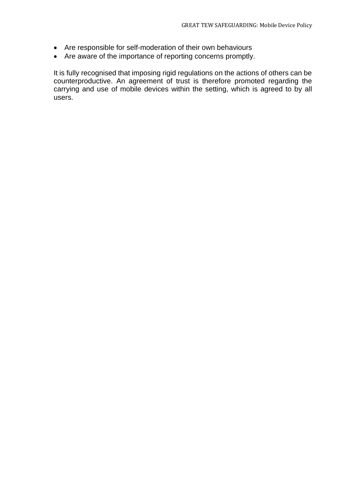- Are responsible for self-moderation of their own behaviours
- Are aware of the importance of reporting concerns promptly.

It is fully recognised that imposing rigid regulations on the actions of others can be counterproductive. An agreement of trust is therefore promoted regarding the carrying and use of mobile devices within the setting, which is agreed to by all users.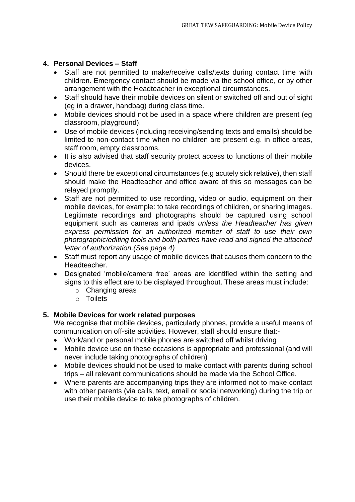## **4. Personal Devices – Staff**

- Staff are not permitted to make/receive calls/texts during contact time with children. Emergency contact should be made via the school office, or by other arrangement with the Headteacher in exceptional circumstances.
- Staff should have their mobile devices on silent or switched off and out of sight (eg in a drawer, handbag) during class time.
- Mobile devices should not be used in a space where children are present (eg classroom, playground).
- Use of mobile devices (including receiving/sending texts and emails) should be limited to non-contact time when no children are present e.g. in office areas, staff room, empty classrooms.
- It is also advised that staff security protect access to functions of their mobile devices.
- Should there be exceptional circumstances (e.g acutely sick relative), then staff should make the Headteacher and office aware of this so messages can be relayed promptly.
- Staff are not permitted to use recording, video or audio, equipment on their mobile devices, for example: to take recordings of children, or sharing images. Legitimate recordings and photographs should be captured using school equipment such as cameras and ipads *unless the Headteacher has given express permission for an authorized member of staff to use their own photographic/editing tools and both parties have read and signed the attached letter of authorization.(See page 4)*
- Staff must report any usage of mobile devices that causes them concern to the Headteacher.
- Designated 'mobile/camera free' areas are identified within the setting and signs to this effect are to be displayed throughout. These areas must include:
	- o Changing areas
	- o Toilets

# **5. Mobile Devices for work related purposes**

We recognise that mobile devices, particularly phones, provide a useful means of communication on off-site activities. However, staff should ensure that:-

- Work/and or personal mobile phones are switched off whilst driving
- Mobile device use on these occasions is appropriate and professional (and will never include taking photographs of children)
- Mobile devices should not be used to make contact with parents during school trips – all relevant communications should be made via the School Office.
- Where parents are accompanying trips they are informed not to make contact with other parents (via calls, text, email or social networking) during the trip or use their mobile device to take photographs of children.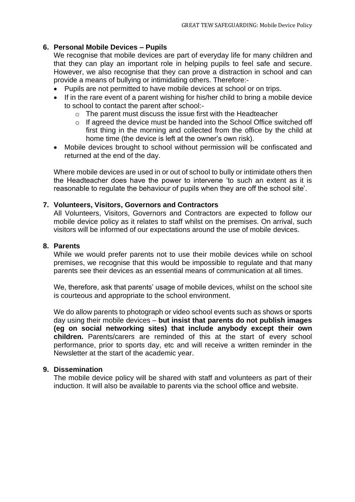# **6. Personal Mobile Devices – Pupils**

We recognise that mobile devices are part of everyday life for many children and that they can play an important role in helping pupils to feel safe and secure. However, we also recognise that they can prove a distraction in school and can provide a means of bullying or intimidating others. Therefore:-

- Pupils are not permitted to have mobile devices at school or on trips.
- If in the rare event of a parent wishing for his/her child to bring a mobile device to school to contact the parent after school:
	- o The parent must discuss the issue first with the Headteacher
	- o If agreed the device must be handed into the School Office switched off first thing in the morning and collected from the office by the child at home time (the device is left at the owner's own risk).
- Mobile devices brought to school without permission will be confiscated and returned at the end of the day.

Where mobile devices are used in or out of school to bully or intimidate others then the Headteacher does have the power to intervene 'to such an extent as it is reasonable to regulate the behaviour of pupils when they are off the school site'.

## **7. Volunteers, Visitors, Governors and Contractors**

All Volunteers, Visitors, Governors and Contractors are expected to follow our mobile device policy as it relates to staff whilst on the premises. On arrival, such visitors will be informed of our expectations around the use of mobile devices.

## **8. Parents**

While we would prefer parents not to use their mobile devices while on school premises, we recognise that this would be impossible to regulate and that many parents see their devices as an essential means of communication at all times.

We, therefore, ask that parents' usage of mobile devices, whilst on the school site is courteous and appropriate to the school environment.

We do allow parents to photograph or video school events such as shows or sports day using their mobile devices – **but insist that parents do not publish images (eg on social networking sites) that include anybody except their own children.** Parents/carers are reminded of this at the start of every school performance, prior to sports day, etc and will receive a written reminder in the Newsletter at the start of the academic year.

## **9. Dissemination**

The mobile device policy will be shared with staff and volunteers as part of their induction. It will also be available to parents via the school office and website.